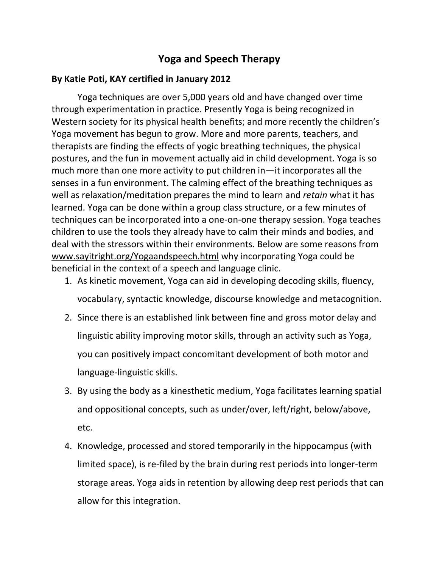## **Yoga and Speech Therapy**

## **By Katie Poti, KAY certified in January 2012**

Yoga techniques are over 5,000 years old and have changed over time through experimentation in practice. Presently Yoga is being recognized in Western society for its physical health benefits; and more recently the children's Yoga movement has begun to grow. More and more parents, teachers, and therapists are finding the effects of yogic breathing techniques, the physical postures, and the fun in movement actually aid in child development. Yoga is so much more than one more activity to put children in—it incorporates all the senses in a fun environment. The calming effect of the breathing techniques as well as relaxation/meditation prepares the mind to learn and *retain* what it has learned. Yoga can be done within a group class structure, or a few minutes of techniques can be incorporated into a one-on-one therapy session. Yoga teaches children to use the tools they already have to calm their minds and bodies, and deal with the stressors within their environments. Below are some reasons from [www.sayitright.org/Yogaandspeech.html](http://www.sayitright.org/yogaandspeech.html) why incorporating Yoga could be beneficial in the context of a speech and language clinic.

- 1. As kinetic movement, Yoga can aid in developing decoding skills, fluency, vocabulary, syntactic knowledge, discourse knowledge and metacognition.
- 2. Since there is an established link between fine and gross motor delay and linguistic ability improving motor skills, through an activity such as Yoga, you can positively impact concomitant development of both motor and language-linguistic skills.
- 3. By using the body as a kinesthetic medium, Yoga facilitates learning spatial and oppositional concepts, such as under/over, left/right, below/above, etc.
- 4. Knowledge, processed and stored temporarily in the hippocampus (with limited space), is re-filed by the brain during rest periods into longer-term storage areas. Yoga aids in retention by allowing deep rest periods that can allow for this integration.